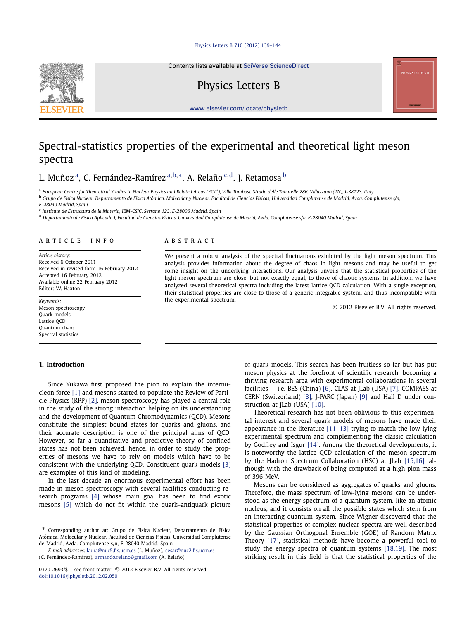#### [Physics Letters B 710 \(2012\) 139–144](http://dx.doi.org/10.1016/j.physletb.2012.02.050)

Contents lists available at [SciVerse ScienceDirect](http://www.ScienceDirect.com/)

# Physics Letters B

[www.elsevier.com/locate/physletb](http://www.elsevier.com/locate/physletb)

## Spectral-statistics properties of the experimental and theoretical light meson spectra

L. Muñoz a, C. Fernández-Ramírez <sup>a</sup>*,*b*,*∗, A. Relaño <sup>c</sup>*,*d, J. Retamosa <sup>b</sup>

<sup>a</sup> *European Centre for Theoretical Studies in Nuclear Physics and Related Areas (ECT\*), Villa Tambosi, Strada delle Tabarelle 286, Villazzano (TN), I-38123, Italy*

<sup>b</sup> *Grupo de Física Nuclear, Departamento de Física Atómica, Molecular y Nuclear, Facultad de Ciencias Físicas, Universidad Complutense de Madrid, Avda. Complutense s/n,*

*E-28040 Madrid, Spain*

<sup>c</sup> *Instituto de Estructura de la Materia, IEM-CSIC, Serrano 123, E-28006 Madrid, Spain*

<sup>d</sup> *Departamento de Física Aplicada I, Facultad de Ciencias Físicas, Universidad Complutense de Madrid, Avda. Complutense s/n, E-28040 Madrid, Spain*

#### article info abstract

*Article history:* Received 6 October 2011 Received in revised form 16 February 2012 Accepted 16 February 2012 Available online 22 February 2012 Editor: W. Haxton

*Keywords:* Meson spectroscopy Quark models Lattice QCD Quantum chaos Spectral statistics

## **1. Introduction**

## Since Yukawa first proposed the pion to explain the internucleon force [\[1\]](#page-5-0) and mesons started to populate the Review of Particle Physics (RPP) [\[2\],](#page-5-0) meson spectroscopy has played a central role in the study of the strong interaction helping on its understanding and the development of Quantum Chromodynamics (QCD). Mesons constitute the simplest bound states for quarks and gluons, and their accurate description is one of the principal aims of QCD. However, so far a quantitative and predictive theory of confined states has not been achieved, hence, in order to study the properties of mesons we have to rely on models which have to be consistent with the underlying QCD. Constituent quark models [\[3\]](#page-5-0) are examples of this kind of modeling.

In the last decade an enormous experimental effort has been made in meson spectroscopy with several facilities conducting research programs [\[4\]](#page-5-0) whose main goal has been to find exotic mesons [\[5\]](#page-5-0) which do not fit within the quark–antiquark picture

We present a robust analysis of the spectral fluctuations exhibited by the light meson spectrum. This analysis provides information about the degree of chaos in light mesons and may be useful to get some insight on the underlying interactions. Our analysis unveils that the statistical properties of the light meson spectrum are close, but not exactly equal, to those of chaotic systems. In addition, we have analyzed several theoretical spectra including the latest lattice QCD calculation. With a single exception, their statistical properties are close to those of a generic integrable system, and thus incompatible with the experimental spectrum.

© 2012 Elsevier B.V. All rights reserved.

of quark models. This search has been fruitless so far but has put meson physics at the forefront of scientific research, becoming a thriving research area with experimental collaborations in several facilities  $-$  i.e. BES (China) [\[6\],](#page-5-0) CLAS at [Lab (USA) [\[7\],](#page-5-0) COMPASS at CERN (Switzerland) [\[8\],](#page-5-0) J-PARC (Japan) [\[9\]](#page-5-0) and Hall D under con-struction at JLab (USA) [\[10\].](#page-5-0)

Theoretical research has not been oblivious to this experimental interest and several quark models of mesons have made their appearance in the literature [\[11–13\]](#page-5-0) trying to match the low-lying experimental spectrum and complementing the classic calculation by Godfrey and Isgur [\[14\].](#page-5-0) Among the theoretical developments, it is noteworthy the lattice QCD calculation of the meson spectrum by the Hadron Spectrum Collaboration (HSC) at JLab [\[15,16\],](#page-5-0) although with the drawback of being computed at a high pion mass of 396 MeV.

Mesons can be considered as aggregates of quarks and gluons. Therefore, the mass spectrum of low-lying mesons can be understood as the energy spectrum of a quantum system, like an atomic nucleus, and it consists on all the possible states which stem from an interacting quantum system. Since Wigner discovered that the statistical properties of complex nuclear spectra are well described by the Gaussian Orthogonal Ensemble (GOE) of Random Matrix Theory [\[17\],](#page-5-0) statistical methods have become a powerful tool to study the energy spectra of quantum systems [\[18,19\].](#page-5-0) The most striking result in this field is that the statistical properties of the



<sup>\*</sup> Corresponding author at: Grupo de Física Nuclear, Departamento de Física Atómica, Molecular y Nuclear, Facultad de Ciencias Físicas, Universidad Complutense de Madrid, Avda. Complutense s/n, E-28040 Madrid, Spain.

*E-mail addresses:* [laura@nuc5.fis.ucm.es](mailto:laura@nuc5.fis.ucm.es) (L. Muñoz), [cesar@nuc2.fis.ucm.es](mailto:cesar@nuc2.fis.ucm.es) (C. Fernández-Ramírez), [armando.relano@gmail.com](mailto:armando.relano@gmail.com) (A. Relaño).

<sup>0370-2693/\$ –</sup> see front matter © 2012 Elsevier B.V. All rights reserved. [doi:10.1016/j.physletb.2012.02.050](http://dx.doi.org/10.1016/j.physletb.2012.02.050)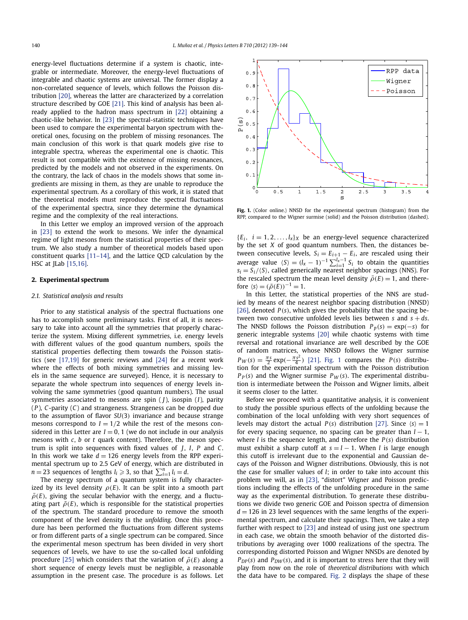<span id="page-1-0"></span>energy-level fluctuations determine if a system is chaotic, integrable or intermediate. Moreover, the energy-level fluctuations of integrable and chaotic systems are universal. The former display a non-correlated sequence of levels, which follows the Poisson distribution [\[20\],](#page-5-0) whereas the latter are characterized by a correlation structure described by GOE [\[21\].](#page-5-0) This kind of analysis has been already applied to the hadron mass spectrum in [\[22\]](#page-5-0) obtaining a chaotic-like behavior. In [\[23\]](#page-5-0) the spectral-statistic techniques have been used to compare the experimental baryon spectrum with theoretical ones, focusing on the problem of missing resonances. The main conclusion of this work is that quark models give rise to integrable spectra, whereas the experimental one is chaotic. This result is not compatible with the existence of missing resonances, predicted by the models and not observed in the experiments. On the contrary, the lack of chaos in the models shows that some ingredients are missing in them, as they are unable to reproduce the experimental spectrum. As a corollary of this work, it is stated that the theoretical models must reproduce the spectral fluctuations of the experimental spectra, since they determine the dynamical regime and the complexity of the real interactions.

In this Letter we employ an improved version of the approach in [\[23\]](#page-5-0) to extend the work to mesons. We infer the dynamical regime of light mesons from the statistical properties of their spectrum. We also study a number of theoretical models based upon constituent quarks [\[11–14\],](#page-5-0) and the lattice QCD calculation by the HSC at JLab [\[15,16\].](#page-5-0)

### **2. Experimental spectrum**

#### *2.1. Statistical analysis and results*

Prior to any statistical analysis of the spectral fluctuations one has to accomplish some preliminary tasks. First of all, it is necessary to take into account all the symmetries that properly characterize the system. Mixing different symmetries, i.e. energy levels with different values of the good quantum numbers, spoils the statistical properties deflecting them towards the Poisson statistics (see [\[17,19\]](#page-5-0) for generic reviews and [\[24\]](#page-5-0) for a recent work where the effects of both mixing symmetries and missing levels in the same sequence are surveyed). Hence, it is necessary to separate the whole spectrum into sequences of energy levels involving the same symmetries (good quantum numbers). The usual symmetries associated to mesons are spin ( *J*), isospin (*I*), parity (*P* ), *C*-parity (*C*) and strangeness. Strangeness can be dropped due to the assumption of flavor *SU(*3*)* invariance and because strange mesons correspond to  $I = 1/2$  while the rest of the mesons considered in this Letter are  $I = 0, 1$  (we do not include in our analysis mesons with *c*, *b* or *t* quark content). Therefore, the meson spectrum is split into sequences with fixed values of *J*, *I*, *P* and *C*. In this work we take  $d = 126$  energy levels from the RPP experimental spectrum up to 2.5 GeV of energy, which are distributed in  $n = 23$  sequences of lengths  $l_i \geqslant 3$ , so that  $\sum_{i=1}^{n} l_i = d$ .

The energy spectrum of a quantum system is fully characterized by its level density  $\rho(E)$ . It can be split into a smooth part  $\bar{\rho}(E)$ , giving the secular behavior with the energy, and a fluctuating part  $\tilde{\rho}(E)$ , which is responsible for the statistical properties of the spectrum. The standard procedure to remove the smooth component of the level density is the *unfolding*. Once this procedure has been performed the fluctuations from different systems or from different parts of a single spectrum can be compared. Since the experimental meson spectrum has been divided in very short sequences of levels, we have to use the so-called local unfolding procedure [\[25\]](#page-5-0) which considers that the variation of  $\bar{\rho}(E)$  along a short sequence of energy levels must be negligible, a reasonable assumption in the present case. The procedure is as follows. Let



Fig. 1. (Color online.) NNSD for the experimental spectrum (histogram) from the RPP, compared to the Wigner surmise (solid) and the Poisson distribution (dashed).

 ${E_i, i = 1, 2, ..., l_x}$ *x* be an energy-level sequence characterized by the set *X* of good quantum numbers. Then, the distances between consecutive levels,  $S_i = E_{i+1} - E_i$ , are rescaled using their average value  $\langle S \rangle = (l_x - 1)^{-1} \sum_{i=1}^{l_x - 1} S_i$  to obtain the quantities  $s_i = S_i/\langle S \rangle$ , called generically nearest neighbor spacings (NNS). For the rescaled spectrum the mean level density  $\bar{\rho}(E) = 1$ , and therefore  $\langle s \rangle = (\bar{\rho}(E))^{-1} = 1$ .

In this Letter, the statistical properties of the NNS are studied by means of the nearest neighbor spacing distribution (NNSD) [\[26\],](#page-5-0) denoted *P(s)*, which gives the probability that the spacing between two consecutive unfolded levels lies between  $s$  and  $s + ds$ . The NNSD follows the Poisson distribution  $P_p(s) = \exp(-s)$  for generic integrable systems [\[20\]](#page-5-0) while chaotic systems with time reversal and rotational invariance are well described by the GOE of random matrices, whose NNSD follows the Wigner surmise  $P_W(s) = \frac{\pi s}{2} \exp(-\frac{\pi s^2}{4})$  [\[21\].](#page-5-0) Fig. 1 compares the *P*(*s*) distribution for the experimental spectrum with the Poisson distribution  $P_P(s)$  and the Wigner surmise  $P_W(s)$ . The experimental distribution is intermediate between the Poisson and Wigner limits, albeit it seems closer to the latter.

Before we proceed with a quantitative analysis, it is convenient to study the possible spurious effects of the unfolding because the combination of the local unfolding with very short sequences of levels may distort the actual *P*(*s*) distribution [\[27\].](#page-5-0) Since  $\langle s \rangle = 1$ for every spacing sequence, no spacing can be greater than  $l - 1$ , where *l* is the sequence length, and therefore the *P(s)* distribution must exhibit a sharp cutoff at  $s = l - 1$ . When *l* is large enough this cutoff is irrelevant due to the exponential and Gaussian decays of the Poisson and Wigner distributions. Obviously, this is not the case for smaller values of *l*; in order to take into account this problem we will, as in [\[23\],](#page-5-0) "distort" Wigner and Poisson predictions including the effects of the unfolding procedure in the same way as the experimental distribution. To generate these distributions we divide two generic GOE and Poisson spectra of dimension  $d = 126$  in 23 level sequences with the same lengths of the experimental spectrum, and calculate their spacings. Then, we take a step further with respect to [\[23\]](#page-5-0) and instead of using just one spectrum in each case, we obtain the smooth behavior of the distorted distributions by averaging over 1000 realizations of the spectra. The corresponding distorted Poisson and Wigner NNSDs are denoted by  $P_{DP}(s)$  and  $P_{DW}(s)$ , and it is important to stress here that they will play from now on the role of *theoretical distributions* with which the data have to be compared. [Fig. 2](#page-2-0) displays the shape of these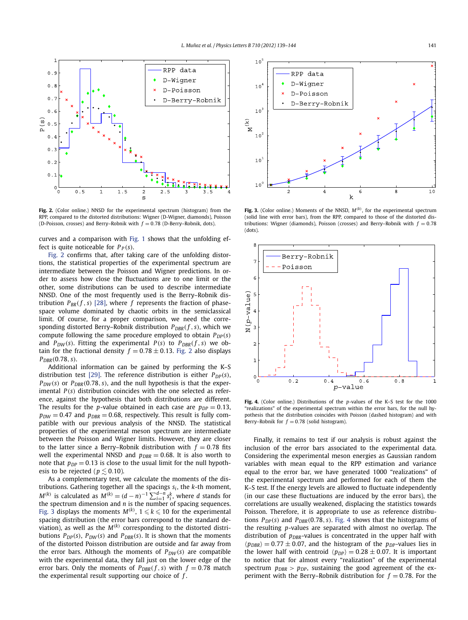<span id="page-2-0"></span>

**Fig. 2.** (Color online.) NNSD for the experimental spectrum (histogram) from the RPP, compared to the distorted distributions: Wigner (D-Wigner, diamonds), Poisson (D-Poisson, crosses) and Berry–Robnik with  $f = 0.78$  (D-Berry–Robnik, dots).

curves and a comparison with [Fig. 1](#page-1-0) shows that the unfolding effect is quite noticeable for  $P_P(s)$ .

Fig. 2 confirms that, after taking care of the unfolding distortions, the statistical properties of the experimental spectrum are intermediate between the Poisson and Wigner predictions. In order to assess how close the fluctuations are to one limit or the other, some distributions can be used to describe intermediate NNSD. One of the most frequently used is the Berry–Robnik distribution  $P_{BR}(f, s)$  [\[28\],](#page-5-0) where  $f$  represents the fraction of phasespace volume dominated by chaotic orbits in the semiclassical limit. Of course, for a proper comparison, we need the corresponding distorted Berry–Robnik distribution  $P_{DBR}(f, s)$ , which we compute following the same procedure employed to obtain  $P_{DP}(s)$ and  $P_{DW}(s)$ . Fitting the experimental  $P(s)$  to  $P_{DBR}(f, s)$  we obtain for the fractional density  $f = 0.78 \pm 0.13$ . Fig. 2 also displays *PDBR(*0*.*78*, s)*.

Additional information can be gained by performing the K–S distribution test [\[29\].](#page-5-0) The reference distribution is either  $P_{DP}(s)$ ,  $P_{DW}(s)$  or  $P_{DBR}(0.78, s)$ , and the null hypothesis is that the experimental *P(s)* distribution coincides with the one selected as reference, against the hypothesis that both distributions are different. The results for the *p*-value obtained in each case are  $p_{DP} = 0.13$ ,  $p_{DW} = 0.47$  and  $p_{DBR} = 0.68$ , respectively. This result is fully compatible with our previous analysis of the NNSD. The statistical properties of the experimental meson spectrum are intermediate between the Poisson and Wigner limits. However, they are closer to the latter since a Berry–Robnik distribution with  $f = 0.78$  fits well the experimental NNSD and  $p_{\text{DRR}} = 0.68$ . It is also worth to note that  $p_{DP} = 0.13$  is close to the usual limit for the null hypothesis to be rejected ( $p \le 0.10$ ).

As a complementary test, we calculate the moments of the distributions. Gathering together all the spacings *si* , the *k*-th moment,  $M^{(k)}$  is calculated as  $M^{(k)} = (d - n)^{-1} \sum_{i=1}^{d-n} s_i^k$ , where d stands for the spectrum dimension and *n* is the number of spacing sequences. Fig. 3 displays the moments  $M^{(k)}$ ,  $1 \leqslant k \leqslant 10$  for the experimental spacing distribution (the error bars correspond to the standard deviation), as well as the *M(k)* corresponding to the distorted distributions  $P_{DP}(s)$ ,  $P_{DW}(s)$  and  $P_{DBR}(s)$ . It is shown that the moments of the distorted Poisson distribution are outside and far away from the error bars. Although the moments of  $P_{DW}(s)$  are compatible with the experimental data, they fall just on the lower edge of the error bars. Only the moments of  $P_{DBR}(f, s)$  with  $f = 0.78$  match the experimental result supporting our choice of *f* .



**Fig. 3.** (Color online.) Moments of the NNSD, *M(k)*, for the experimental spectrum (solid line with error bars), from the RPP, compared to those of the distorted distributions: Wigner (diamonds), Poisson (crosses) and Berry–Robnik with  $f = 0.78$ (dots).



**Fig. 4.** (Color online.) Distributions of the *p*-values of the K–S test for the 1000 "realizations" of the experimental spectrum within the error bars, for the null hypothesis that the distribution coincides with Poisson (dashed histogram) and with Berry–Robnik for  $f = 0.78$  (solid histogram).

Finally, it remains to test if our analysis is robust against the inclusion of the error bars associated to the experimental data. Considering the experimental meson energies as Gaussian random variables with mean equal to the RPP estimation and variance equal to the error bar, we have generated 1000 "realizations" of the experimental spectrum and performed for each of them the K–S test. If the energy levels are allowed to fluctuate independently (in our case these fluctuations are induced by the error bars), the correlations are usually weakened, displacing the statistics towards Poisson. Therefore, it is appropriate to use as reference distributions  $P_{DP}(s)$  and  $P_{DRR}(0.78, s)$ . Fig. 4 shows that the histograms of the resulting *p*-values are separated with almost no overlap. The distribution of  $p_{DBR}$ -values is concentrated in the upper half with  $\langle p_{DBR} \rangle = 0.77 \pm 0.07$ , and the histogram of the  $p_{DP}$ -values lies in the lower half with centroid  $\langle p_{DP} \rangle = 0.28 \pm 0.07$ . It is important to notice that for almost every "realization" of the experimental spectrum  $p_{DBR}$  >  $p_{DP}$ , sustaining the good agreement of the experiment with the Berry–Robnik distribution for  $f = 0.78$ . For the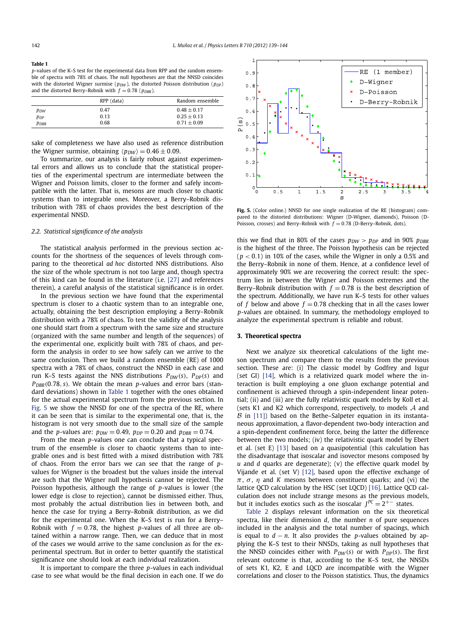| Table 1                                                                                         |
|-------------------------------------------------------------------------------------------------|
| p-values of the K–S test for the experimental data from RPP and the random ensem-               |
| ble of spectra with 78% of chaos. The null hypotheses are that the NNSD coincides               |
| with the distorted Wigner surmise ( $p_{DW}$ ), the distorted Poisson distribution ( $p_{DP}$ ) |
| and the distorted Berry–Robnik with $f = 0.78$ ( $p_{DRR}$ ).                                   |

|                 | RPP (data) | Random ensemble |
|-----------------|------------|-----------------|
| P <sub>DW</sub> | 0.47       | $0.48 + 0.17$   |
| PDP             | 0.13       | $0.25 + 0.13$   |
| PDBR            | 0.68       | $0.71 \pm 0.09$ |

sake of completeness we have also used as reference distribution the Wigner surmise, obtaining  $\langle p_{DW} \rangle = 0.46 \pm 0.09$ .

To summarize, our analysis is fairly robust against experimental errors and allows us to conclude that the statistical properties of the experimental spectrum are intermediate between the Wigner and Poisson limits, closer to the former and safely incompatible with the latter. That is, mesons are much closer to chaotic systems than to integrable ones. Moreover, a Berry–Robnik distribution with 78% of chaos provides the best description of the experimental NNSD.

## *2.2. Statistical significance of the analysis*

The statistical analysis performed in the previous section accounts for the shortness of the sequences of levels through comparing to the theoretical *ad hoc* distorted NNS distributions. Also the size of the whole spectrum is not too large and, though spectra of this kind can be found in the literature (i.e. [\[27\]](#page-5-0) and references therein), a careful analysis of the statistical significance is in order.

In the previous section we have found that the experimental spectrum is closer to a chaotic system than to an integrable one, actually, obtaining the best description employing a Berry–Robnik distribution with a 78% of chaos. To test the validity of the analysis one should start from a spectrum with the same size and structure (organized with the same number and length of the sequences) of the experimental one, explicitly built with 78% of chaos, and perform the analysis in order to see how safely can we arrive to the same conclusion. Then we build a random ensemble (RE) of 1000 spectra with a 78% of chaos, construct the NNSD in each case and run K–S tests against the NNS distributions  $P_{DW}(s)$ ,  $P_{DP}(s)$  and *PDBR(*0*.*78*, s)*. We obtain the mean *p*-values and error bars (standard deviations) shown in Table 1 together with the ones obtained for the actual experimental spectrum from the previous section. In Fig. 5 we show the NNSD for one of the spectra of the RE, where it can be seen that is similar to the experimental one, that is, the histogram is not very smooth due to the small size of the sample and the *p*-values are:  $p_{DW} = 0.49$ ,  $p_{DP} = 0.20$  and  $p_{DBR} = 0.74$ .

From the mean *p*-values one can conclude that a typical spectrum of the ensemble is closer to chaotic systems than to integrable ones and is best fitted with a mixed distribution with 78% of chaos. From the error bars we can see that the range of *p*values for Wigner is the broadest but the values inside the interval are such that the Wigner null hypothesis cannot be rejected. The Poisson hypothesis, although the range of *p*-values is lower (the lower edge is close to rejection), cannot be dismissed either. Thus, most probably the actual distribution lies in between both, and hence the case for trying a Berry–Robnik distribution, as we did for the experimental one. When the K–S test is run for a Berry– Robnik with  $f = 0.78$ , the highest p-values of all three are obtained within a narrow range. Then, we can deduce that in most of the cases we would arrive to the same conclusion as for the experimental spectrum. But in order to better quantify the statistical significance one should look at each individual realization.

It is important to compare the three *p*-values in each individual case to see what would be the final decision in each one. If we do



**Fig. 5.** (Color online.) NNSD for one single realization of the RE (histogram) compared to the distorted distributions: Wigner (D-Wigner, diamonds), Poisson (D-Poisson, crosses) and Berry–Robnik with  $f = 0.78$  (D-Berry–Robnik, dots).

this we find that in 80% of the cases  $p_{DW} > p_{DP}$  and in 90%  $p_{DBR}$ is the highest of the three. The Poisson hypothesis can be rejected (*p <* 0*.*1) in 10% of the cases, while the Wigner in only a 0.5% and the Berry–Robnik in none of them. Hence, at a confidence level of approximately 90% we are recovering the correct result: the spectrum lies in between the Wigner and Poisson extremes and the Berry–Robnik distribution with  $f = 0.78$  is the best description of the spectrum. Additionally, we have run K–S tests for other values of *f* below and above  $f = 0.78$  checking that in all the cases lower *p*-values are obtained. In summary, the methodology employed to analyze the experimental spectrum is reliable and robust.

## **3. Theoretical spectra**

Next we analyze six theoretical calculations of the light meson spectrum and compare them to the results from the previous section. These are: (i) The classic model by Godfrey and Isgur (set GI) [\[14\],](#page-5-0) which is a relativized quark model where the interaction is built employing a one gluon exchange potential and confinement is achieved through a spin-independent linear potential; (ii) and (iii) are the fully relativistic quark models by Koll et al. (sets K1 and K2 which correspond, respectively, to models  $A$  and  $\beta$  in [\[11\]\)](#page-5-0) based on the Bethe–Salpeter equation in its instantaneous approximation, a flavor-dependent two-body interaction and a spin-dependent confinement force, being the latter the difference between the two models; (iv) the relativistic quark model by Ebert et al. (set E) [\[13\]](#page-5-0) based on a quasipotential (this calculation has the disadvantage that isoscalar and isovector mesons composed by *u* and *d* quarks are degenerate); (v) the effective quark model by Vijande et al. (set V) [\[12\],](#page-5-0) based upon the effective exchange of  $π$ ,  $σ$ ,  $η$  and *K* mesons between constituent quarks; and (vi) the lattice QCD calculation by the HSC (set LQCD) [\[16\].](#page-5-0) Lattice QCD calculation does not include strange mesons as the previous models, but it includes exotics such as the isoscalar  $J^{PC} = 2^{+-}$  states.

[Table 2](#page-4-0) displays relevant information on the six theoretical spectra, like their dimension *d*, the number *n* of pure sequences included in the analysis and the total number of spacings, which is equal to  $d - n$ . It also provides the *p*-values obtained by applying the K–S test to their NNSDs, taking as null hypotheses that the NNSD coincides either with  $P_{DW}(s)$  or with  $P_{DP}(s)$ . The first relevant outcome is that, according to the K–S test, the NNSDs of sets K1, K2, E and LQCD are incompatible with the Wigner correlations and closer to the Poisson statistics. Thus, the dynamics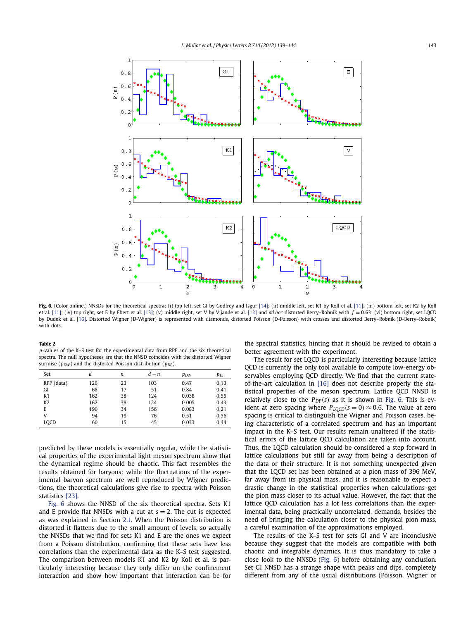<span id="page-4-0"></span>

Fig. 6. (Color online.) NNSDs for the theoretical spectra: (i) top left, set GI by Godfrey and Isgur [\[14\];](#page-5-0) (ii) middle left, set K1 by Koll et al. [\[11\];](#page-5-0) (iii) bottom left, set K2 by Koll et al. [\[11\];](#page-5-0) (iv) top right, set E by Ebert et al. [\[13\];](#page-5-0) (v) middle right, set V by Vijande et al. [\[12\]](#page-5-0) and *ad hoc* distorted Berry–Robnik with  $f = 0.63$ ; (vi) bottom right, set LQCD by Dudek et al. [\[16\].](#page-5-0) Distorted Wigner (D-Wigner) is represented with diamonds, distorted Poisson (D-Poisson) with crosses and distorted Berry–Robnik (D-Berry–Robnik) with dots

| $\sim$ |  |
|--------|--|
|--------|--|

*p*-values of the K–S test for the experimental data from RPP and the six theoretical spectra. The null hypotheses are that the NNSD coincides with the distorted Wigner surmise ( $p_{DW}$ ) and the distorted Poisson distribution ( $p_{DP}$ ).

| Set            | d   | n  | $d - n$ | P <sub>DW</sub> | $p_{DP}$ |
|----------------|-----|----|---------|-----------------|----------|
| RPP (data)     | 126 | 23 | 103     | 0.47            | 0.13     |
| GI             | 68  | 17 | 51      | 0.84            | 0.41     |
| K1             | 162 | 38 | 124     | 0.038           | 0.55     |
| K <sub>2</sub> | 162 | 38 | 124     | 0.005           | 0.43     |
| E              | 190 | 34 | 156     | 0.083           | 0.21     |
| V              | 94  | 18 | 76      | 0.51            | 0.56     |
| <b>LOCD</b>    | 60  | 15 | 45      | 0.033           | 0.44     |

predicted by these models is essentially regular, while the statistical properties of the experimental light meson spectrum show that the dynamical regime should be chaotic. This fact resembles the results obtained for baryons: while the fluctuations of the experimental baryon spectrum are well reproduced by Wigner predictions, the theoretical calculations give rise to spectra with Poisson statistics [\[23\].](#page-5-0)

Fig. 6 shows the NNSD of the six theoretical spectra. Sets K1 and E provide flat NNSDs with a cut at  $s = 2$ . The cut is expected as was explained in Section [2.1.](#page-1-0) When the Poisson distribution is distorted it flattens due to the small amount of levels, so actually the NNSDs that we find for sets K1 and E are the ones we expect from a Poisson distribution, confirming that these sets have less correlations than the experimental data as the K–S test suggested. The comparison between models K1 and K2 by Koll et al. is particularly interesting because they only differ on the confinement interaction and show how important that interaction can be for the spectral statistics, hinting that it should be revised to obtain a better agreement with the experiment.

The result for set LQCD is particularly interesting because lattice QCD is currently the only tool available to compute low-energy observables employing QCD directly. We find that the current stateof-the-art calculation in [\[16\]](#page-5-0) does not describe properly the statistical properties of the meson spectrum. Lattice QCD NNSD is relatively close to the  $P_{DP}(s)$  as it is shown in Fig. 6. This is evident at zero spacing where  $P_{LQCD}(s=0) \approx 0.6$ . The value at zero spacing is critical to distinguish the Wigner and Poisson cases, being characteristic of a correlated spectrum and has an important impact in the K–S test. Our results remain unaltered if the statistical errors of the lattice QCD calculation are taken into account. Thus, the LQCD calculation should be considered a step forward in lattice calculations but still far away from being a description of the data or their structure. It is not something unexpected given that the LQCD set has been obtained at a pion mass of 396 MeV, far away from its physical mass, and it is reasonable to expect a drastic change in the statistical properties when calculations get the pion mass closer to its actual value. However, the fact that the lattice QCD calculation has a lot less correlations than the experimental data, being practically uncorrelated, demands, besides the need of bringing the calculation closer to the physical pion mass, a careful examination of the approximations employed.

The results of the K–S test for sets GI and V are inconclusive because they suggest that the models are compatible with both chaotic and integrable dynamics. It is thus mandatory to take a close look to the NNSDs (Fig. 6) before obtaining any conclusion. Set GI NNSD has a strange shape with peaks and dips, completely different from any of the usual distributions (Poisson, Wigner or